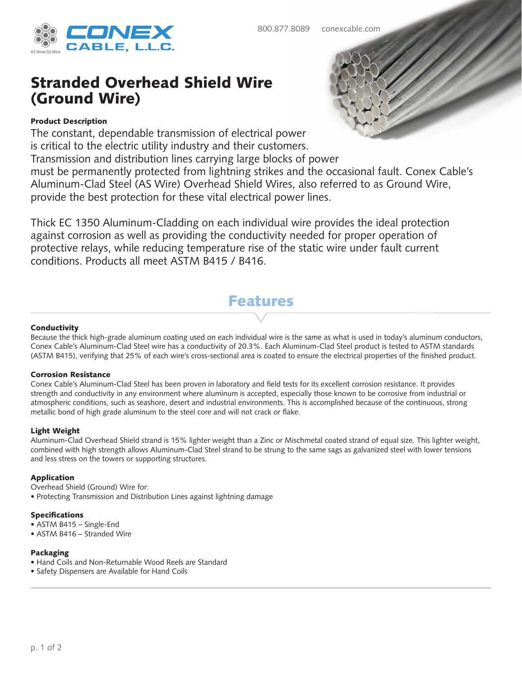

# Stranded Overhead Shield Wire (Ground Wire)

## Product Description

The constant, dependable transmission of electrical power is critical to the electric utility industry and their customers.

Transmission and distribution lines carrying large blocks of power

must be permanently protected from lightning strikes and the occasional fault. Conex Cable's Aluminum-Clad Steel (AS Wire) Overhead Shield Wires, also referred to as Ground Wire, provide the best protection for these vital electrical power lines.

Thick EC 1350 Aluminum-Cladding on each individual wire provides the ideal protection against corrosion as well as providing the conductivity needed for proper operation of protective relays, while reducing temperature rise of the static wire under fault current conditions. Products all meet ASTM B415 / B416.

# Features

#### **Conductivity**

Because the thick high-grade aluminum coating used on each individual wire is the same as what is used in today's aluminum conductors, Conex Cable's Aluminum-Clad Steel wire has a conductivity of 20.3%. Each Aluminum-Clad Steel product is tested to ASTM standards (ASTM B415), verifying that 25% of each wire's cross-sectional area is coated to ensure the electrical properties of the finished product.

#### Corrosion Resistance

Conex Cable's Aluminum-Clad Steel has been proven in laboratory and field tests for its excellent corrosion resistance. It provides strength and conductivity in any environment where aluminum is accepted, especially those known to be corrosive from industrial or atmospheric conditions, such as seashore, desert and industrial environments. This is accomplished because of the continuous, strong metallic bond of high grade aluminum to the steel core and will not crack or flake.

#### Light Weight

Aluminum-Clad Overhead Shield strand is 15% lighter weight than a Zinc or Mischmetal coated strand of equal size. This lighter weight, combined with high strength allows Aluminum-Clad Steel strand to be strung to the same sags as galvanized steel with lower tensions and less stress on the towers or supporting structures.

#### Application

Overhead Shield (Ground) Wire for:

• Protecting Transmission and Distribution Lines against lightning damage

#### Specifications

- ASTM B415 Single-End
- ASTM B416 Stranded Wire

#### Packaging

- Hand Coils and Non-Returnable Wood Reels are Standard
- Safety Dispensers are Available for Hand Coils